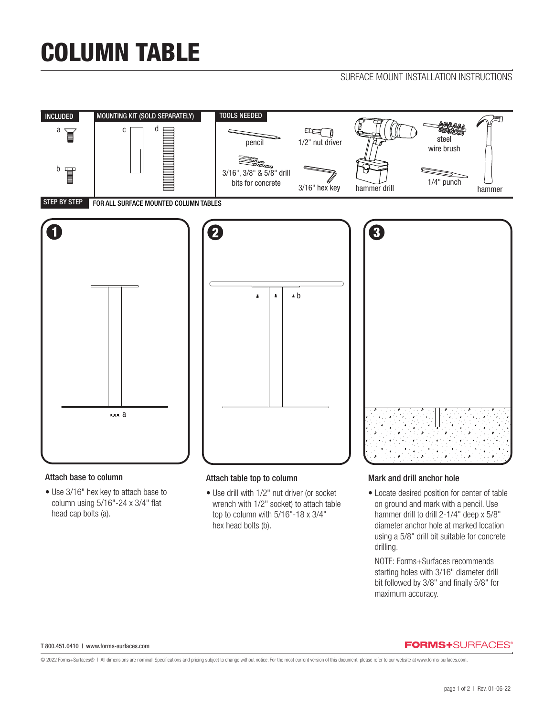# COLUMN TABLE

## SURFACE MOUNT INSTALLATION INSTRUCTIONS



### Attach base to column

• Use 3/16" hex key to attach base to column using 5/16"-24 x 3/4" flat head cap bolts (a).

### Attach table top to column

• Use drill with 1/2" nut driver (or socket wrench with 1/2" socket) to attach table top to column with 5/16"-18 x 3/4" hex head bolts (b).

### Mark and drill anchor hole

• Locate desired position for center of table on ground and mark with a pencil. Use hammer drill to drill 2-1/4" deep x 5/8" diameter anchor hole at marked location using a 5/8" drill bit suitable for concrete drilling.

 NOTE: Forms+Surfaces recommends starting holes with 3/16" diameter drill bit followed by 3/8" and finally 5/8" for maximum accuracy.

#### T 800.451.0410 | www.forms-surfaces.com

### **FORMS+**SURFACES®

© 2022 Forms+Surfaces® | All dimensions are nominal. Specifications and pricing subject to change without notice. For the most current version of this document, please refer to our website at www.forms-surfaces.com.